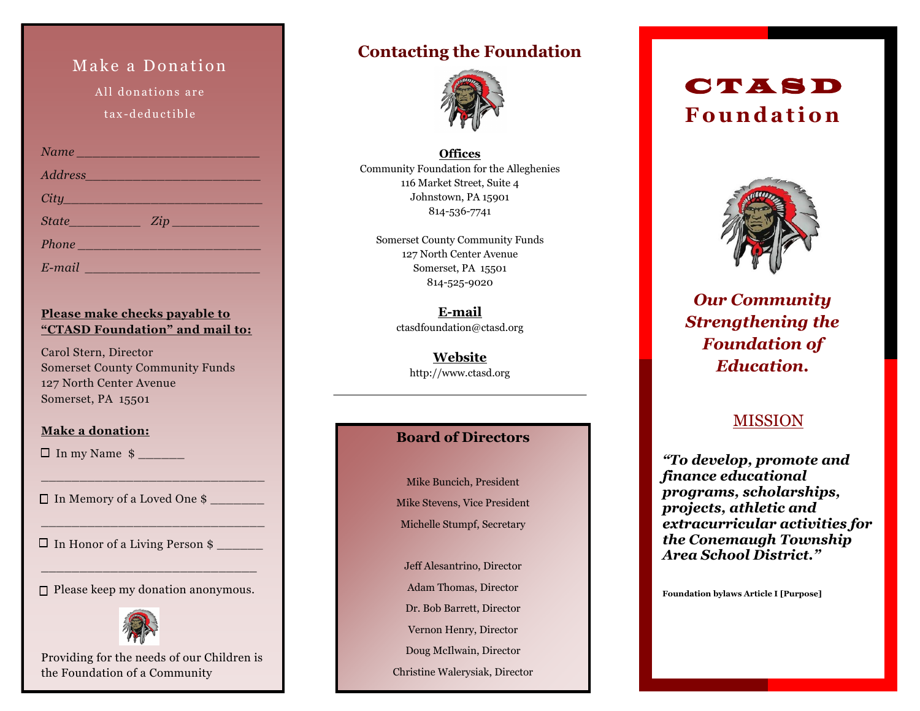## Make a Donation

All donations are tax-deductible

| Name Manuel Communication                                                                                                                                                                                                           |               |
|-------------------------------------------------------------------------------------------------------------------------------------------------------------------------------------------------------------------------------------|---------------|
| Address                                                                                                                                                                                                                             |               |
| $City$ and $City$ and $y$ and $y$ and $y$ and $y$ and $y$ and $y$ and $y$ and $y$ and $y$ and $y$ and $y$ and $y$ and $y$ and $y$ and $y$ and $y$ and $y$ and $y$ and $y$ and $y$ and $y$ and $y$ and $y$ and $y$ and $y$ and $y$ a |               |
|                                                                                                                                                                                                                                     | $State$ $Zip$ |
| Phone                                                                                                                                                                                                                               |               |
| $E$ -mail $\qquad \qquad$                                                                                                                                                                                                           |               |

#### **Please make checks payable to "CTASD Foundation" and mail to:**

Carol Stern, Director Somerset County Community Funds 127 North Center Avenue Somerset, PA 15501

#### **Make a donation:**

 $\Box$  In my Name  $\sin$ 

In Memory of a Loved One \$ \_\_\_\_\_\_\_

 $\Box$  In Honor of a Living Person  $\frac{1}{2}$ 

 $\square$  Please keep my donation anonymous.

\_\_\_\_\_\_\_\_\_\_\_\_\_\_\_\_\_\_\_\_\_\_\_\_\_\_\_\_

\_\_\_\_\_\_\_\_\_\_\_\_\_\_\_\_\_\_\_\_\_\_\_\_\_\_\_\_\_

 $\_$  , and the set of the set of the set of the set of the set of the set of the set of the set of the set of the set of the set of the set of the set of the set of the set of the set of the set of the set of the set of th



Providing for the needs of our Children is the Foundation of a Community

## **Contacting the Foundation**



**Offices** Community Foundation for the Alleghenies 116 Market Street, Suite 4 Johnstown, PA 15901 814-536-7741

Somerset County Community Funds 127 North Center Avenue Somerset, PA 15501 814-525-9020

> **E-mail** ctasdfoundation@ctasd.org

> > **Website** http://www.ctasd.org

### **Board of Directors**

Mike Buncich, President Mike Stevens, Vice President Michelle Stumpf, Secretary

Jeff Alesantrino, Director

Adam Thomas, Director

Dr. Bob Barrett, Director

Vernon Henry, Director

Doug McIlwain, Director

Christine Walerysiak, Director

# C T A S D **F o u n d a t i o n**



*Our Community Strengthening the Foundation of Education.*

## MISSION

*"To develop, promote and finance educational programs, scholarships, projects, athletic and extracurricular activities for the Conemaugh Township Area School District."*

**Foundation bylaws Article I [Purpose]**